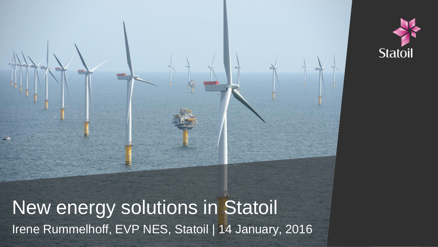



Irene Rummelhoff, EVP NES, Statoil | 14 January, 2016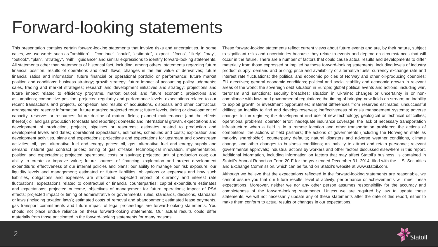### Forward-looking statements

This presentation contains certain forward-looking statements that involve risks and uncertainties. In some cases, we use words such as "ambition", "continue", "could", "estimate", "expect", "focus", "likely", "may", "outlook", "plan", "strategy", "will", "guidance" and similar expressions to identify forward-looking statements. All statements other than statements of historical fact, including, among others, statements regarding future financial position, results of operations and cash flows; changes in the fair value of derivatives; future financial ratios and information; future financial or operational portfolio or performance; future market position and conditions; business strategy; growth strategy; future impact of accounting policy judgments; sales, trading and market strategies; research and development initiatives and strategy; projections and future impact related to efficiency programs, market outlook and future economic projections and assumptions; competitive position; projected regularity and performance levels; expectations related to our recent transactions and projects, completion and results of acquisitions, disposals and other contractual arrangements; reserve information; future margins; projected returns; future levels, timing or development of capacity, reserves or resources; future decline of mature fields; planned maintenance (and the effects thereof); oil and gas production forecasts and reporting; domestic and international growth, expectations and development of production, projects, pipelines or resources; estimates related to production and development levels and dates; operational expectations, estimates, schedules and costs; exploration and development activities, plans and expectations; projections and expectations for upstream and downstream activities; oil, gas, alternative fuel and energy prices; oil, gas, alternative fuel and energy supply and demand; natural gas contract prices; timing of gas off-take; technological innovation, implementation, position and expectations; projected operational costs or savings; projected unit of production cost; our ability to create or improve value; future sources of financing; exploration and project development expenditure; effectiveness of our internal policies and plans; our ability to manage our risk exposure; our liquidity levels and management; estimated or future liabilities, obligations or expenses and how such liabilities, obligations and expenses are structured; expected impact of currency and interest rate fluctuations; expectations related to contractual or financial counterparties; capital expenditure estimates and expectations; projected outcome, objectives of management for future operations; impact of PSA effects; projected impact or timing of administrative or governmental rules, standards, decisions, standards or laws (including taxation laws); estimated costs of removal and abandonment; estimated lease payments, gas transport commitments and future impact of legal proceedings are forward-looking statements. You should not place undue reliance on these forward-looking statements. Our actual results could differ materially from those anticipated in the forward-looking statements for many reasons.

These forward-looking statements reflect current views about future events and are, by their nature, subject to significant risks and uncertainties because they relate to events and depend on circumstances that will occur in the future. There are a number of factors that could cause actual results and developments to differ materially from those expressed or implied by these forward-looking statements, including levels of industry product supply, demand and pricing; price and availability of alternative fuels; currency exchange rate and interest rate fluctuations; the political and economic policies of Norway and other oil-producing countries; EU directives; general economic conditions; political and social stability and economic growth in relevant areas of the world; the sovereign debt situation in Europe; global political events and actions, including war, terrorism and sanctions; security breaches; situation in Ukraine; changes or uncertainty in or noncompliance with laws and governmental regulations; the timing of bringing new fields on stream; an inability to exploit growth or investment opportunities; material differences from reserves estimates; unsuccessful drilling; an inability to find and develop reserves; ineffectiveness of crisis management systems; adverse changes in tax regimes; the development and use of new technology; geological or technical difficulties; operational problems; operator error; inadequate insurance coverage; the lack of necessary transportation infrastructure when a field is in a remote location and other transportation problems; the actions of competitors; the actions of field partners; the actions of governments (including the Norwegian state as majority shareholder); counterparty defaults; natural disasters and adverse weather conditions, climate change, and other changes to business conditions; an inability to attract and retain personnel; relevant governmental approvals; industrial actions by workers and other factors discussed elsewhere in this report. Additional information, including information on factors that may affect Statoil's business, is contained in Statoil's Annual Report on Form 20-F for the year ended December 31, 2014, filed with the U.S. Securities and Exchange Commission, which can be found on Statoil's website at www.statoil.com.

Although we believe that the expectations reflected in the forward-looking statements are reasonable, we cannot assure you that our future results, level of activity, performance or achievements will meet these expectations. Moreover, neither we nor any other person assumes responsibility for the accuracy and completeness of the forward-looking statements. Unless we are required by law to update these statements, we will not necessarily update any of these statements after the date of this report, either to make them conform to actual results or changes in our expectations.

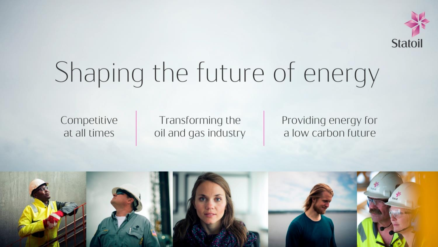

# Shaping the future of energy

Competitive at all times

Transforming the oil and gas industry Providing energy for a low carbon future

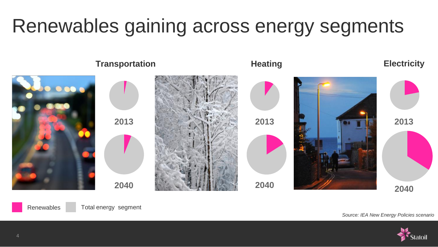### Renewables gaining across energy segments





*Source: IEA New Energy Policies scenario*

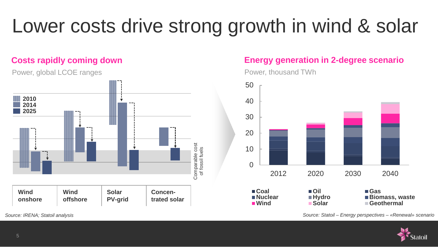### Lower costs drive strong growth in wind & solar

#### **Costs rapidly coming down**

Power, global LCOE ranges **2010 2014 2025** Comparable cost<br>of fossil fuels Comparable cost of fossil fuels **Wind Wind Solar Concenonshore offshore PV-grid trated solar**

#### **Energy generation in 2-degree scenario**

Power, thousand TWh



*Source: IRENA; Statoil analysis Source: Statoil – Energy perspectives – «Renewal» scenario*

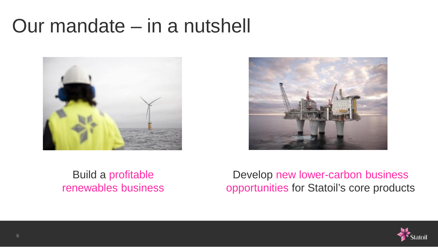### Our mandate – in a nutshell





#### Build a profitable renewables business

Develop new lower-carbon business opportunities for Statoil's core products

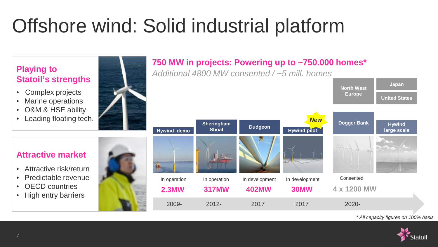### Offshore wind: Solid industrial platform



#### **750 MW in projects: Powering up to ~750.000 homes\***

2009- 2012- 2017 2017 2020-



**Hywind large scale**

**Japan**

**United States**

**North West Europe**

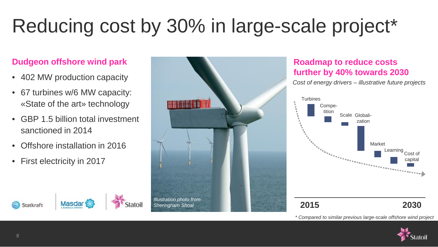### Reducing cost by 30% in large-scale project\*

#### **Dudgeon offshore wind park**

- 402 MW production capacity
- 67 turbines w/6 MW capacity: «State of the art» technology
- GBP 1.5 billion total investment sanctioned in 2014
- Offshore installation in 2016
- First electricity in 2017





#### **Roadmap to reduce costs further by 40% towards 2030**

*Cost of energy drivers – illustrative future projects*



*\* Compared to similar previous large-scale offshore wind project*

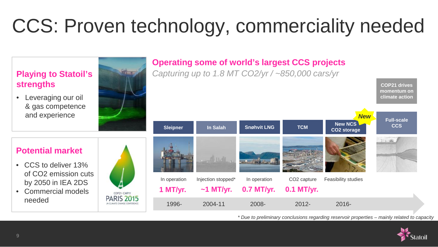### CCS: Proven technology, commerciality needed



*\* Due to preliminary conclusions regarding reservoir properties – mainly related to capacity*

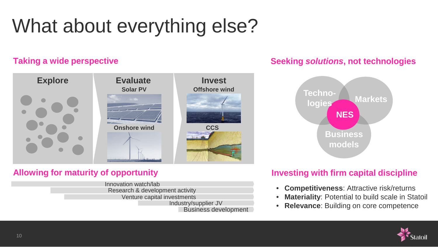### What about everything else?

#### **Taking a wide perspective**



#### **Allowing for maturity of opportunity**

Innovation watch/lab Research & development activity Venture capital investments Industry/supplier JV Business development

#### **Seeking** *solutions***, not technologies**



#### **Investing with firm capital discipline**

- **Competitiveness**: Attractive risk/returns
- **Materiality**: Potential to build scale in Statoil
- **Relevance**: Building on core competence

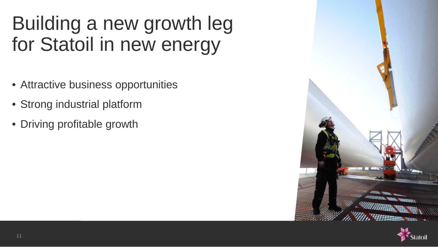### Building a new growth leg for Statoil in new energy

- Attractive business opportunities
- Strong industrial platform
- Driving profitable growth



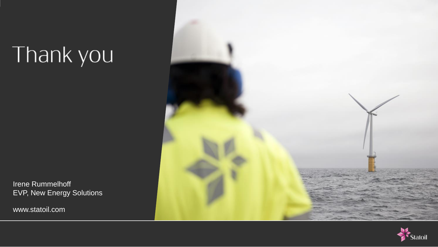## Thank you

Irene Rummelhoff EVP, New Energy Solutions

www.statoil.com